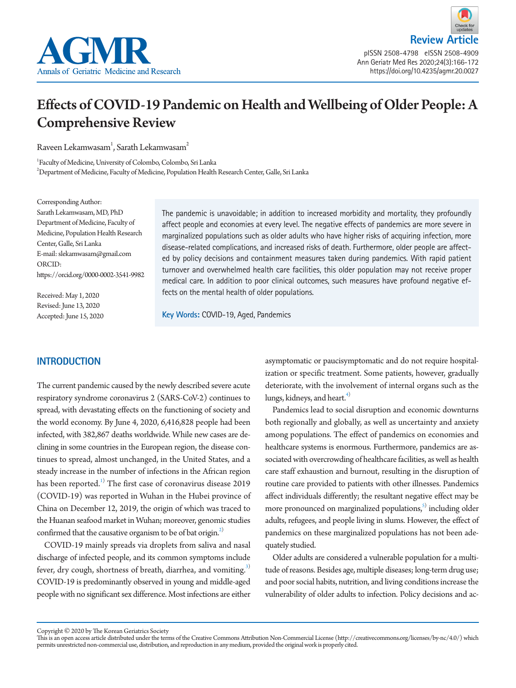



Ann Geriatr Med Res 2020;24(3):166-172 https://doi.org/10.4235/agmr.20.0027

# Effects of COVID-19 Pandemic on Health and Wellbeing of Older People: A Comprehensive Review

Raveen Lekamwasam $^{\text{1}}$ , Sarath Lekamwasam $^{\text{2}}$ 

<sup>1</sup> Faculty of Medicine, University of Colombo, Colombo, Sri Lanka<br><sup>2</sup> Department of Medicine, Faculty of Medicine, Pepulation Heelth <sup>2</sup>Department of Medicine, Faculty of Medicine, Population Health Research Center, Galle, Sri Lanka

Corresponding Author: Sarath Lekamwasam, MD, PhD Department of Medicine, Faculty of Medicine, Population Health Research Center, Galle, Sri Lanka E-mail: slekamwasam@gmail.com ORCID: https://orcid.org/0000-0002-3541-9982

Received: May 1, 2020 Revised: June 13, 2020 Accepted: June 15, 2020 The pandemic is unavoidable; in addition to increased morbidity and mortality, they profoundly affect people and economies at every level. The negative effects of pandemics are more severe in marginalized populations such as older adults who have higher risks of acquiring infection, more disease-related complications, and increased risks of death. Furthermore, older people are affected by policy decisions and containment measures taken during pandemics. With rapid patient turnover and overwhelmed health care facilities, this older population may not receive proper medical care. In addition to poor clinical outcomes, such measures have profound negative effects on the mental health of older populations.

**Key Words:** COVID-19, Aged, Pandemics

# **INTRODUCTION**

The current pandemic caused by the newly described severe acute respiratory syndrome coronavirus 2 (SARS-CoV-2) continues to spread, with devastating effects on the functioning of society and the world economy. By June 4, 2020, 6,416,828 people had been infected, with 382,867 deaths worldwide. While new cases are declining in some countries in the European region, the disease continues to spread, almost unchanged, in the United States, and a steady increase in the number of infections in the African region has been reported. $^{1)}$  $^{1)}$  $^{1)}$  The first case of coronavirus disease 2019 (COVID-19) was reported in Wuhan in the Hubei province of China on December 12, 2019, the origin of which was traced to the Huanan seafood market in Wuhan; moreover, genomic studies confirmed that the causative organism to be of bat origin.<sup>2)</sup>

COVID-19 mainly spreads via droplets from saliva and nasal discharge of infected people, and its common symptoms include fever, dry cough, shortness of breath, diarrhea, and vomiting. $3$ COVID-19 is predominantly observed in young and middle-aged people with no significant sex difference. Most infections are either

asymptomatic or paucisymptomatic and do not require hospitalization or specific treatment. Some patients, however, gradually deteriorate, with the involvement of internal organs such as the lungs, kidneys, and heart.<sup>4)</sup>

Pandemics lead to social disruption and economic downturns both regionally and globally, as well as uncertainty and anxiety among populations. The effect of pandemics on economies and healthcare systems is enormous. Furthermore, pandemics are associated with overcrowding of healthcare facilities, as well as health care staff exhaustion and burnout, resulting in the disruption of routine care provided to patients with other illnesses. Pandemics affect individuals differently; the resultant negative effect may be more pronounced on marginalized populations,<sup>5)</sup> including older adults, refugees, and people living in slums. However, the effect of pandemics on these marginalized populations has not been adequately studied.

Older adults are considered a vulnerable population for a multitude of reasons. Besides age, multiple diseases; long-term drug use; and poor social habits, nutrition, and living conditions increase the vulnerability of older adults to infection. Policy decisions and ac-

Copyright © 2020 by The Korean Geriatrics Society

This is an open access article distributed under the terms of the Creative Commons Attribution Non-Commercial License (http://creativecommons.org/licenses/by-nc/4.0/) which permits unrestricted non-commercial use, distribution, and reproduction in any medium, provided the original work is properly cited.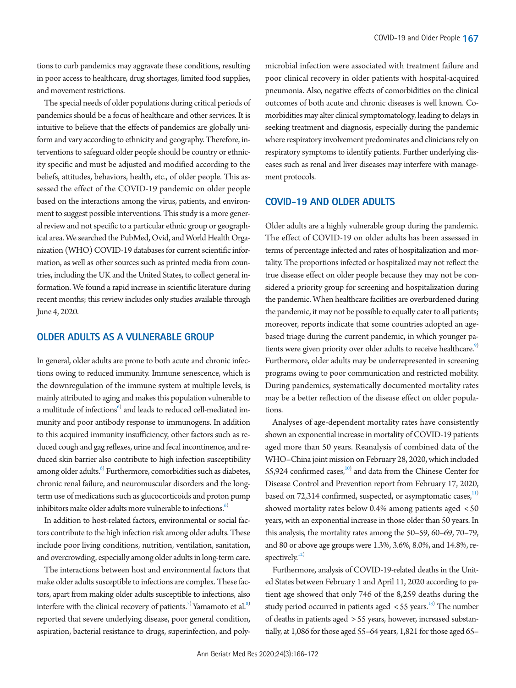tions to curb pandemics may aggravate these conditions, resulting in poor access to healthcare, drug shortages, limited food supplies, and movement restrictions.

The special needs of older populations during critical periods of pandemics should be a focus of healthcare and other services. It is intuitive to believe that the effects of pandemics are globally uniform and vary according to ethnicity and geography. Therefore, interventions to safeguard older people should be country or ethnicity specific and must be adjusted and modified according to the beliefs, attitudes, behaviors, health, etc., of older people. This assessed the effect of the COVID-19 pandemic on older people based on the interactions among the virus, patients, and environment to suggest possible interventions. This study is a more general review and not specific to a particular ethnic group or geographical area. We searched the PubMed, Ovid, and World Health Organization (WHO) COVID-19 databases for current scientific information, as well as other sources such as printed media from countries, including the UK and the United States, to collect general information. We found a rapid increase in scientific literature during recent months; this review includes only studies available through June 4, 2020.

# **OLDER ADULTS AS A VULNERABLE GROUP**

In general, older adults are prone to both acute and chronic infections owing to reduced immunity. Immune senescence, which is the downregulation of the immune system at multiple levels, is mainly attributed to aging and makes this population vulnerable to a multitude of infections<sup>6)</sup> and leads to reduced cell-mediated immunity and poor antibody response to immunogens. In addition to this acquired immunity insufficiency, other factors such as reduced cough and gag reflexes, urine and fecal incontinence, and reduced skin barrier also contribute to high infection susceptibility among older adults.<sup>[6](#page-4-5))</sup> Furthermore, comorbidities such as diabetes, chronic renal failure, and neuromuscular disorders and the longterm use of medications such as glucocorticoids and proton pump inhibitors make older adults more vulnerable to infections. $6$ 

In addition to host-related factors, environmental or social factors contribute to the high infection risk among older adults. These include poor living conditions, nutrition, ventilation, sanitation, and overcrowding, especially among older adults in long-term care.

The interactions between host and environmental factors that make older adults susceptible to infections are complex. These factors, apart from making older adults susceptible to infections, also interfere with the clinical recovery of patients.<sup>7)</sup> Yamamoto et al.<sup>8)</sup> reported that severe underlying disease, poor general condition, aspiration, bacterial resistance to drugs, superinfection, and poly-

microbial infection were associated with treatment failure and poor clinical recovery in older patients with hospital-acquired pneumonia. Also, negative effects of comorbidities on the clinical outcomes of both acute and chronic diseases is well known. Comorbidities may alter clinical symptomatology, leading to delays in seeking treatment and diagnosis, especially during the pandemic where respiratory involvement predominates and clinicians rely on respiratory symptoms to identify patients. Further underlying diseases such as renal and liver diseases may interfere with management protocols.

#### **COVID-19 AND OLDER ADULTS**

Older adults are a highly vulnerable group during the pandemic. The effect of COVID-19 on older adults has been assessed in terms of percentage infected and rates of hospitalization and mortality. The proportions infected or hospitalized may not reflect the true disease effect on older people because they may not be considered a priority group for screening and hospitalization during the pandemic. When healthcare facilities are overburdened during the pandemic, it may not be possible to equally cater to all patients; moreover, reports indicate that some countries adopted an agebased triage during the current pandemic, in which younger patients were given priority over older adults to receive healthcare.<sup>9)</sup> Furthermore, older adults may be underrepresented in screening programs owing to poor communication and restricted mobility. During pandemics, systematically documented mortality rates may be a better reflection of the disease effect on older populations.

Analyses of age-dependent mortality rates have consistently shown an exponential increase in mortality of COVID-19 patients aged more than 50 years. Reanalysis of combined data of the WHO–China joint mission on February 28, 2020, which included 55,924 confirmed cases,<sup>10)</sup> and data from the Chinese Center for Disease Control and Prevention report from February 17, 2020, based on 72,314 confirmed, suspected, or asymptomatic cases, $11)$  $11)$ showed mortality rates below 0.4% among patients aged < 50 years, with an exponential increase in those older than 50 years. In this analysis, the mortality rates among the 50–59, 60–69, 70–79, and 80 or above age groups were 1.3%, 3.6%, 8.0%, and 14.8%, respectively. $12)$ 

Furthermore, analysis of COVID-19-related deaths in the United States between February 1 and April 11, 2020 according to patient age showed that only 746 of the 8,259 deaths during the study period occurred in patients aged  $\lt$  55 years.<sup>13)</sup> The number of deaths in patients aged > 55 years, however, increased substantially, at 1,086 for those aged 55–64 years, 1,821 for those aged 65–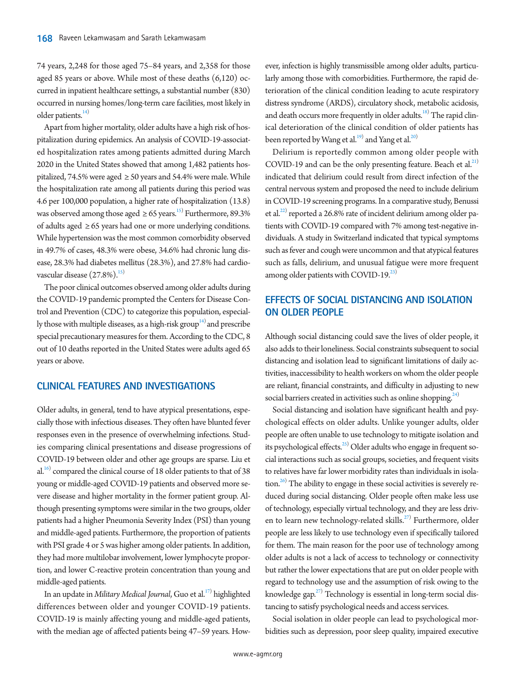74 years, 2,248 for those aged 75–84 years, and 2,358 for those aged 85 years or above. While most of these deaths (6,120) occurred in inpatient healthcare settings, a substantial number (830) occurred in nursing homes/long-term care facilities, most likely in older patients. $^{14)}$ 

Apart from higher mortality, older adults have a high risk of hospitalization during epidemics. An analysis of COVID-19-associated hospitalization rates among patients admitted during March 2020 in the United States showed that among 1,482 patients hospitalized, 74.5% were aged  $\geq$  50 years and 54.4% were male. While the hospitalization rate among all patients during this period was 4.6 per 100,000 population, a higher rate of hospitalization (13.8) was observed among those aged  $\geq 65$  years.<sup>[15](#page-5-6))</sup> Furthermore, 89.3% of adults aged ≥ 65 years had one or more underlying conditions. While hypertension was the most common comorbidity observed in 49.7% of cases, 48.3% were obese, 34.6% had chronic lung disease, 28.3% had diabetes mellitus (28.3%), and 27.8% had cardiovascular disease  $(27.8\%)$ .<sup>15)</sup>

The poor clinical outcomes observed among older adults during the COVID-19 pandemic prompted the Centers for Disease Control and Prevention (CDC) to categorize this population, especially those with multiple diseases, as a high-risk group<sup>14)</sup> and prescribe special precautionary measures for them. According to the CDC, 8 out of 10 deaths reported in the United States were adults aged 65 years or above.

#### **CLINICAL FEATURES AND INVESTIGATIONS**

Older adults, in general, tend to have atypical presentations, especially those with infectious diseases. They often have blunted fever responses even in the presence of overwhelming infections. Studies comparing clinical presentations and disease progressions of COVID-19 between older and other age groups are sparse. Liu et al.<sup>[16](#page-5-7))</sup> compared the clinical course of 18 older patients to that of 38 young or middle-aged COVID-19 patients and observed more severe disease and higher mortality in the former patient group. Although presenting symptoms were similar in the two groups, older patients had a higher Pneumonia Severity Index (PSI) than young and middle-aged patients. Furthermore, the proportion of patients with PSI grade 4 or 5 was higher among older patients. In addition, they had more multilobar involvement, lower lymphocyte proportion, and lower C-reactive protein concentration than young and middle-aged patients.

In an update in *Military Medical Journal,* Guo et al.<sup>[17](#page-5-8))</sup> highlighted differences between older and younger COVID-19 patients. COVID-19 is mainly affecting young and middle-aged patients, with the median age of affected patients being 47–59 years. How-

ever, infection is highly transmissible among older adults, particularly among those with comorbidities. Furthermore, the rapid deterioration of the clinical condition leading to acute respiratory distress syndrome (ARDS), circulatory shock, metabolic acidosis, and death occurs more frequently in older adults.<sup>[18](#page-5-9))</sup> The rapid clinical deterioration of the clinical condition of older patients has been reported by Wang et al.<sup>19)</sup> and Yang et al.<sup>20)</sup>

Delirium is reportedly common among older people with COVID-19 and can be the only presenting feature. Beach et al. $^{21)}$  $^{21)}$  $^{21)}$ indicated that delirium could result from direct infection of the central nervous system and proposed the need to include delirium in COVID-19 screening programs. In a comparative study, Benussi et al.<sup>22)</sup> reported a 26.8% rate of incident delirium among older patients with COVID-19 compared with 7% among test-negative individuals. A study in Switzerland indicated that typical symptoms such as fever and cough were uncommon and that atypical features such as falls, delirium, and unusual fatigue were more frequent among older patients with COVID-19. $^{23)}$ 

# **EFFECTS OF SOCIAL DISTANCING AND ISOLATION ON OLDER PEOPLE**

Although social distancing could save the lives of older people, it also adds to their loneliness. Social constraints subsequent to social distancing and isolation lead to significant limitations of daily activities, inaccessibility to health workers on whom the older people are reliant, financial constraints, and difficulty in adjusting to new social barriers created in activities such as online shopping.<sup>24)</sup>

Social distancing and isolation have significant health and psychological effects on older adults. Unlike younger adults, older people are often unable to use technology to mitigate isolation and its psychological effects.<sup>25)</sup> Older adults who engage in frequent social interactions such as social groups, societies, and frequent visits to relatives have far lower morbidity rates than individuals in isolation.<sup>26)</sup> The ability to engage in these social activities is severely reduced during social distancing. Older people often make less use of technology, especially virtual technology, and they are less driv-en to learn new technology-related skills.<sup>[27](#page-5-18))</sup> Furthermore, older people are less likely to use technology even if specifically tailored for them. The main reason for the poor use of technology among older adults is not a lack of access to technology or connectivity but rather the lower expectations that are put on older people with regard to technology use and the assumption of risk owing to the knowledge gap.<sup>[27](#page-5-18))</sup> Technology is essential in long-term social distancing to satisfy psychological needs and access services.

Social isolation in older people can lead to psychological morbidities such as depression, poor sleep quality, impaired executive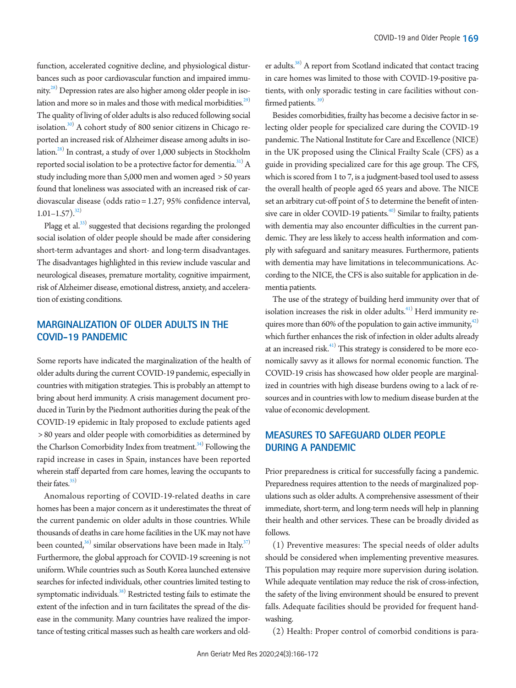function, accelerated cognitive decline, and physiological disturbances such as poor cardiovascular function and impaired immunity.<sup>28)</sup> Depression rates are also higher among older people in isolation and more so in males and those with medical morbidities.<sup>29)</sup> The quality of living of older adults is also reduced following social isolation.<sup>30)</sup> A cohort study of 800 senior citizens in Chicago reported an increased risk of Alzheimer disease among adults in isolation.<sup>28)</sup> In contrast, a study of over 1,000 subjects in Stockholm reported social isolation to be a protective factor for dementia. $^{31)}$  A study including more than 5,000 men and women aged > 50 years found that loneliness was associated with an increased risk of cardiovascular disease (odds ratio = 1.27; 95% confidence interval,  $1.01 - 1.57$ ).<sup>32)</sup>

Plagg et al.<sup>33)</sup> suggested that decisions regarding the prolonged social isolation of older people should be made after considering short-term advantages and short- and long-term disadvantages. The disadvantages highlighted in this review include vascular and neurological diseases, premature mortality, cognitive impairment, risk of Alzheimer disease, emotional distress, anxiety, and acceleration of existing conditions.

# **MARGINALIZATION OF OLDER ADULTS IN THE COVID-19 PANDEMIC**

Some reports have indicated the marginalization of the health of older adults during the current COVID-19 pandemic, especially in countries with mitigation strategies. This is probably an attempt to bring about herd immunity. A crisis management document produced in Turin by the Piedmont authorities during the peak of the COVID-19 epidemic in Italy proposed to exclude patients aged > 80 years and older people with comorbidities as determined by the Charlson Comorbidity Index from treatment.<sup>34)</sup> Following the rapid increase in cases in Spain, instances have been reported wherein staff departed from care homes, leaving the occupants to their fates. $35$ 

Anomalous reporting of COVID-19-related deaths in care homes has been a major concern as it underestimates the threat of the current pandemic on older adults in those countries. While thousands of deaths in care home facilities in the UK may not have been counted, $^{36)}$  similar observations have been made in Italy. $^{37)}$ Furthermore, the global approach for COVID-19 screening is not uniform. While countries such as South Korea launched extensive searches for infected individuals, other countries limited testing to symptomatic individuals.<sup>38)</sup> Restricted testing fails to estimate the extent of the infection and in turn facilitates the spread of the disease in the community. Many countries have realized the importance of testing critical masses such as health care workers and old-

er adults.<sup>38)</sup> A report from Scotland indicated that contact tracing in care homes was limited to those with COVID-19-positive patients, with only sporadic testing in care facilities without confirmed patients.<sup>39)</sup>

Besides comorbidities, frailty has become a decisive factor in selecting older people for specialized care during the COVID-19 pandemic. The National Institute for Care and Excellence (NICE) in the UK proposed using the Clinical Frailty Scale (CFS) as a guide in providing specialized care for this age group. The CFS, which is scored from 1 to 7, is a judgment-based tool used to assess the overall health of people aged 65 years and above. The NICE set an arbitrary cut-off point of 5 to determine the benefit of inten-sive care in older COVID-19 patients.<sup>[40](#page-6-6))</sup> Similar to frailty, patients with dementia may also encounter difficulties in the current pandemic. They are less likely to access health information and comply with safeguard and sanitary measures. Furthermore, patients with dementia may have limitations in telecommunications. According to the NICE, the CFS is also suitable for application in dementia patients.

The use of the strategy of building herd immunity over that of isolation increases the risk in older adults. $41)$  Herd immunity requires more than 60% of the population to gain active immunity, $42$ ) which further enhances the risk of infection in older adults already at an increased risk.<sup>41)</sup> This strategy is considered to be more economically savvy as it allows for normal economic function. The COVID-19 crisis has showcased how older people are marginalized in countries with high disease burdens owing to a lack of resources and in countries with low to medium disease burden at the value of economic development.

# **MEASURES TO SAFEGUARD OLDER PEOPLE DURING A PANDEMIC**

Prior preparedness is critical for successfully facing a pandemic. Preparedness requires attention to the needs of marginalized populations such as older adults. A comprehensive assessment of their immediate, short-term, and long-term needs will help in planning their health and other services. These can be broadly divided as follows.

(1) Preventive measures: The special needs of older adults should be considered when implementing preventive measures. This population may require more supervision during isolation. While adequate ventilation may reduce the risk of cross-infection, the safety of the living environment should be ensured to prevent falls. Adequate facilities should be provided for frequent handwashing.

(2) Health: Proper control of comorbid conditions is para-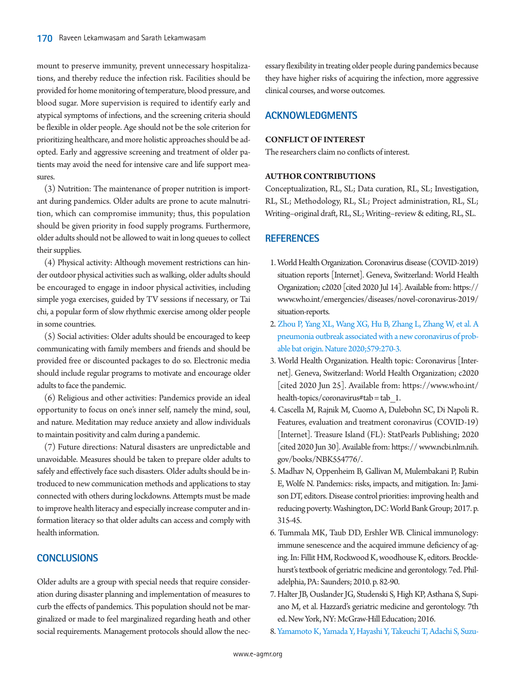mount to preserve immunity, prevent unnecessary hospitalizations, and thereby reduce the infection risk. Facilities should be provided for home monitoring of temperature, blood pressure, and blood sugar. More supervision is required to identify early and atypical symptoms of infections, and the screening criteria should be flexible in older people. Age should not be the sole criterion for prioritizing healthcare, and more holistic approaches should be adopted. Early and aggressive screening and treatment of older patients may avoid the need for intensive care and life support measures.

(3) Nutrition: The maintenance of proper nutrition is important during pandemics. Older adults are prone to acute malnutrition, which can compromise immunity; thus, this population should be given priority in food supply programs. Furthermore, older adults should not be allowed to wait in long queues to collect their supplies.

(4) Physical activity: Although movement restrictions can hinder outdoor physical activities such as walking, older adults should be encouraged to engage in indoor physical activities, including simple yoga exercises, guided by TV sessions if necessary, or Tai chi, a popular form of slow rhythmic exercise among older people in some countries.

(5) Social activities: Older adults should be encouraged to keep communicating with family members and friends and should be provided free or discounted packages to do so. Electronic media should include regular programs to motivate and encourage older adults to face the pandemic.

(6) Religious and other activities: Pandemics provide an ideal opportunity to focus on one's inner self, namely the mind, soul, and nature. Meditation may reduce anxiety and allow individuals to maintain positivity and calm during a pandemic.

(7) Future directions: Natural disasters are unpredictable and unavoidable. Measures should be taken to prepare older adults to safely and effectively face such disasters. Older adults should be introduced to new communication methods and applications to stay connected with others during lockdowns. Attempts must be made to improve health literacy and especially increase computer and information literacy so that older adults can access and comply with health information.

## **CONCLUSIONS**

Older adults are a group with special needs that require consideration during disaster planning and implementation of measures to curb the effects of pandemics. This population should not be marginalized or made to feel marginalized regarding heath and other social requirements. Management protocols should allow the necessary flexibility in treating older people during pandemics because they have higher risks of acquiring the infection, more aggressive clinical courses, and worse outcomes.

## **ACKNOWLEDGMENTS**

#### **CONFLICT OF INTEREST**

The researchers claim no conflicts of interest.

#### **AUTHOR CONTRIBUTIONS**

Conceptualization, RL, SL; Data curation, RL, SL; Investigation, RL, SL; Methodology, RL, SL; Project administration, RL, SL; Writing–original draft, RL, SL; Writing–review & editing, RL, SL.

#### **REFERENCES**

- <span id="page-4-0"></span>1. [World Health Organization. Coronavirus disease \(COVID-2019\)](http://www.who.int/emergencies/diseases/novel-coronavirus-2019/situation-reports.)  [situation reports \[Internet\]. Geneva, Switzerland: World Health](http://www.who.int/emergencies/diseases/novel-coronavirus-2019/situation-reports.)  [Organization; c2020 \[cited 2020 Jul 14\]. Available from: https://](http://www.who.int/emergencies/diseases/novel-coronavirus-2019/situation-reports.) [www.who.int/emergencies/diseases/novel-coronavirus-2019/](http://www.who.int/emergencies/diseases/novel-coronavirus-2019/situation-reports.) [situation-reports.](http://www.who.int/emergencies/diseases/novel-coronavirus-2019/situation-reports.)
- <span id="page-4-1"></span>2. [Zhou P, Yang XL, Wang XG, Hu B, Zhang L, Zhang W, et al. A](https://doi.org/10.1038/s41586-020-2012-7)  [pneumonia outbreak associated with a new coronavirus of prob](https://doi.org/10.1038/s41586-020-2012-7)[able bat origin. Nature 2020;579:270-3.](https://doi.org/10.1038/s41586-020-2012-7)
- <span id="page-4-2"></span>3. World Health Organization. Health topic: Coronavirus [Internet]. Geneva, Switzerland: World Health Organization; c2020 [cited 2020 Jun 25]. Available from: https:[//www.who.int/](www.who.int/health-topics/coronavirus#tab=tab_1.) health-topics/coronavirus#tab = tab  $1$ .
- <span id="page-4-3"></span>4. Cascella M, Rajnik M, Cuomo A, Dulebohn SC, Di Napoli R. Features, evaluation and treatment coronavirus (COVID-19) [Internet]. Treasure Island (FL): StatPearls Publishing; 2020 [cited 2020 Jun 30]. Available from: https:// [www.ncbi.nlm.nih.](www.ncbi.nlm.nih.gov/books/NBK554776/.) [gov/books/NBK554776/.](www.ncbi.nlm.nih.gov/books/NBK554776/.)
- <span id="page-4-4"></span>5. Madhav N, Oppenheim B, Gallivan M, Mulembakani P, Rubin E, Wolfe N. Pandemics: risks, impacts, and mitigation. In: Jamison DT, editors. Disease control priorities: improving health and reducing poverty. Washington, DC: World Bank Group; 2017. p. 315-45.
- <span id="page-4-5"></span>6. Tummala MK, Taub DD, Ershler WB. Clinical immunology: immune senescence and the acquired immune deficiency of aging. In: Fillit HM, Rockwood K, woodhouse K, editors. Brocklehurst's textbook of geriatric medicine and gerontology. 7ed. Philadelphia, PA: Saunders; 2010. p. 82-90.
- <span id="page-4-6"></span>7. Halter JB, Ouslander JG, Studenski S, High KP, Asthana S, Supiano M, et al. Hazzard's geriatric medicine and gerontology. 7th ed. New York, NY: McGraw-Hill Education; 2016.
- <span id="page-4-7"></span>[8. Yamamoto K, Yamada Y, Hayashi Y, Takeuchi T, Adachi S, Suzu-](https://doi.org/10.11150/kansenshogakuzasshi1970.64.1493)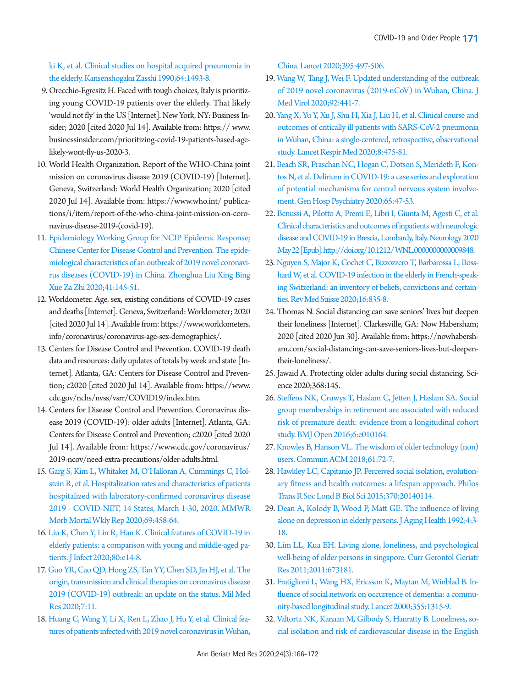[ki K, et al. Clinical studies on hospital acquired pneumonia in](https://doi.org/10.11150/kansenshogakuzasshi1970.64.1493)  [the elderly. Kansenshogaku Zasshi 1990;64:1493-8](https://doi.org/10.11150/kansenshogakuzasshi1970.64.1493).

- <span id="page-5-0"></span>9. Orecchio-Egresitz H. Faced with tough choices, Italy is prioritizing young COVID-19 patients over the elderly. That likely 'would not fly' in the US [Internet]. New York, NY: Business Insider; 2020 [cited 2020 Jul 14]. Available from: https:// [www.](www.businessinsider.com/prioritizing-covid-19-patients-based-age-likely-wont-fly-us-2020-3.) [businessinsider.com/prioritizing-covid-19-patients-based-age](www.businessinsider.com/prioritizing-covid-19-patients-based-age-likely-wont-fly-us-2020-3.)[likely-wont-fly-us-2020-3.](www.businessinsider.com/prioritizing-covid-19-patients-based-age-likely-wont-fly-us-2020-3.)
- <span id="page-5-1"></span>10. World Health Organization. Report of the WHO-China joint mission on coronavirus disease 2019 (COVID-19) [Internet]. Geneva, Switzerland: World Health Organization; 2020 [cited 2020 Jul 14]. Available from: https:/[/www.who.int/](https://www.who.int/ publications/i/item/report-of-the-who-china-joint-mission-on-coronavirus-disease-2019-(covid-19).) publications/i/item/report-of-the-who-china-joint-mission-on-coronavirus-disease-2019-(covid-19).
- <span id="page-5-2"></span>11. [Epidemiology Working Group for NCIP Epidemic Response;](https://www.ncbi.nlm.nih.gov/pubmed/32064853)  [Chinese Center for Disease Control and Prevention. The epide](https://www.ncbi.nlm.nih.gov/pubmed/32064853)[miological characteristics of an outbreak of 2019 novel coronavi](https://www.ncbi.nlm.nih.gov/pubmed/32064853)[rus diseases \(COVID-19\) in China. Zhonghua Liu Xing Bing](https://www.ncbi.nlm.nih.gov/pubmed/32064853)  [Xue Za Zhi 2020;41:145-51.](https://www.ncbi.nlm.nih.gov/pubmed/32064853)
- <span id="page-5-3"></span>12. Worldometer. Age, sex, existing conditions of COVID-19 cases and deaths [Internet]. Geneva, Switzerland: Worldometer; 2020 [cited 2020 Jul 14]. Available from: https:[//www.worldometers.](www.worldometers.info/coronavirus/coronavirus-age-) [info/coronavirus/coronavirus-age-s](www.worldometers.info/coronavirus/coronavirus-age-)ex-demographics/.
- <span id="page-5-4"></span>13. Centers for Disease Control and Prevention. COVID-19 death data and resources: daily updates of totals by week and state [Internet]. Atlanta, GA: Centers for Disease Control and Prevention; c2020 [cited 2020 Jul 14]. Available from: https://ww[w.](https://www.cdc.gov/nchs/nvss/vsrr/COVID19/index.htm.) [cdc.gov/nchs/nvss/vsrr/COVID19/index.htm.](https://www.cdc.gov/nchs/nvss/vsrr/COVID19/index.htm.)
- <span id="page-5-5"></span>14. Centers for Disease Control and Prevention. Coronavirus disease 2019 (COVID-19): older adults [Internet]. Atlanta, GA: Centers for Disease Control and Prevention; c2020 [cited 2020 Jul 14]. Available from: https:[//www.cdc.gov/coronavirus/](https://www.cdc.gov/coronavirus/ 2019-ncov/need-extra-precautions/older-adults.html.) 2019-ncov/need-extra-precautions/older-adults.html.
- <span id="page-5-6"></span>15[. Garg S, Kim L, Whitaker M, O'Halloran A, Cummings C, Hol](https://doi.org/10.15585/mmwr.mm6915e3)[stein R, et al. Hospitalization rates and characteristics of patients](https://doi.org/10.15585/mmwr.mm6915e3)  [hospitalized with laboratory-confirmed coronavirus disease](https://doi.org/10.15585/mmwr.mm6915e3)  [2019 - COVID-NET, 14 States, March 1-30, 2020. MMWR](https://doi.org/10.15585/mmwr.mm6915e3)  [Morb Mortal Wkly Rep 2020;69:458-64.](https://doi.org/10.15585/mmwr.mm6915e3)
- <span id="page-5-7"></span>1[6. Liu K, Chen Y, Lin R, Han K. Clinical features of COVID-19 in](https://doi.org/10.1016/j.jinf.2020.03.005)  [elderly patients: a comparison with young and middle-aged pa](https://doi.org/10.1016/j.jinf.2020.03.005)[tients. J Infect 2020;80:e14-8](https://doi.org/10.1016/j.jinf.2020.03.005).
- <span id="page-5-8"></span>1[7. Guo YR, Cao QD, Hong ZS, Tan YY, Chen SD, Jin HJ, et al. The](https://doi.org/10.1186/s40779-020-00240-0)  [origin, transmission and clinical therapies on coronavirus disease](https://doi.org/10.1186/s40779-020-00240-0)  [2019 \(COVID-19\) outbreak: an update on the status. Mil Med](https://doi.org/10.1186/s40779-020-00240-0)  [Res 2020;7:11.](https://doi.org/10.1186/s40779-020-00240-0)
- <span id="page-5-9"></span>1[8. Huang C, Wang Y, Li X, Ren L, Zhao J, Hu Y, et al. Clinical fea](https://doi.org/10.1016/S0140-6736(20)30183-5)[tures of patients infected with 2019 novel coronavirus in Wuhan,](https://doi.org/10.1016/S0140-6736(20)30183-5)

[China. Lancet 2020;395:497-506.](https://doi.org/10.1016/S0140-6736(20)30183-5)

- <span id="page-5-10"></span>19[. Wang W, Tang J, Wei F. Updated understanding of the outbreak](https://doi.org/10.1002/jmv.25689)  [of 2019 novel coronavirus \(2019-nCoV\) in Wuhan, China. J](https://doi.org/10.1002/jmv.25689)  [Med Virol 2020;92:441-7.](https://doi.org/10.1002/jmv.25689)
- <span id="page-5-11"></span>20[. Yang X, Yu Y, Xu J, Shu H, Xia J, Liu H, et al. Clinical course and](https://doi.org/10.1016/S2213-2600(20)30079-5)  [outcomes of critically ill patients with SARS-CoV-2 pneumonia](https://doi.org/10.1016/S2213-2600(20)30079-5)  [in Wuhan, China: a single-centered, retrospective, observational](https://doi.org/10.1016/S2213-2600(20)30079-5)  [study. Lancet Respir Med 2020;8:475-81.](https://doi.org/10.1016/S2213-2600(20)30079-5)
- <span id="page-5-12"></span>21[. Beach SR, Praschan NC, Hogan C, Dotson S, Merideth F, Kon](https://doi.org/10.1016/j.genhosppsych.2020.05.008)[tos N, et al. Delirium in COVID-19: a case series and exploration](https://doi.org/10.1016/j.genhosppsych.2020.05.008)  [of potential mechanisms for central nervous system involve](https://doi.org/10.1016/j.genhosppsych.2020.05.008)[ment. Gen Hosp Psychiatry 2020;65:47-53.](https://doi.org/10.1016/j.genhosppsych.2020.05.008)
- <span id="page-5-13"></span>22. [Benussi A, Pilotto A, Premi E, Libri I, Giunta M, Agosti C, et al.](https://doi.org/10.1212/ WNL.0000000000009848.)  [Clinical characteristics and outcomes of inpatients with neurologic](https://doi.org/10.1212/ WNL.0000000000009848.)  [disease and COVID-19 in Brescia, Lombardy, Italy. Neurology 2020](https://doi.org/10.1212/ WNL.0000000000009848.)  [May 22 \[Epub\]. http://doi.org/10.1212/ WNL.0000000000009848.](https://doi.org/10.1212/ WNL.0000000000009848.)
- <span id="page-5-14"></span>2[3. Nguyen S, Major K, Cochet C, Bizzozzero T, Barbarossa L, Boss](https://www.ncbi.nlm.nih.gov/pubmed/32348047)[hard W, et al. COVID-19 infection in the elderly in French-speak](https://www.ncbi.nlm.nih.gov/pubmed/32348047)[ing Switzerland: an inventory of beliefs, convictions and certain](https://www.ncbi.nlm.nih.gov/pubmed/32348047)[ties. Rev Med Suisse 2020;16:835-8](https://www.ncbi.nlm.nih.gov/pubmed/32348047).
- <span id="page-5-18"></span><span id="page-5-15"></span>24. [Thomas N. Social distancing can save seniors' lives but deepen](https://nowhabersham.com/social-distancing-can-save-seniors-lives-but-deepen-their-loneliness/.)  [their loneliness \[Internet\]. Clarkesville, GA: Now Habersham;](https://nowhabersham.com/social-distancing-can-save-seniors-lives-but-deepen-their-loneliness/.)  [2020 \[cited 2020 Jun 30\]. Available from: https://nowhabersh](https://nowhabersham.com/social-distancing-can-save-seniors-lives-but-deepen-their-loneliness/.)[am.com/social-distancing-can-save-seniors-lives-but-deepen](https://nowhabersham.com/social-distancing-can-save-seniors-lives-but-deepen-their-loneliness/.)[their-loneliness/.](https://nowhabersham.com/social-distancing-can-save-seniors-lives-but-deepen-their-loneliness/.)
- <span id="page-5-19"></span><span id="page-5-16"></span>25. Jawaid A. Protecting older adults during social distancing. Science 2020;368:145.
- <span id="page-5-17"></span>26[. Steffens NK, Cruwys T, Haslam C, Jetten J, Haslam SA. Social](https://doi.org/10.1136/bmjopen-2015-010164)  [group memberships in retirement are associated with reduced](https://doi.org/10.1136/bmjopen-2015-010164)  [risk of premature death: evidence from a longitudinal cohort](https://doi.org/10.1136/bmjopen-2015-010164)  [study. BMJ Open 2016;6:e010164.](https://doi.org/10.1136/bmjopen-2015-010164)
- 27. [Knowles B, Hanson VL. The wisdom of older technology \(non\)](https://doi.org/10.1145/3179995)  [users. Commun ACM 2018;61:72-7.](https://doi.org/10.1145/3179995)
- 28. [Hawkley LC, Capitanio JP. Perceived social isolation, evolution](https://doi.org/10.1098/rstb.2014.0114)[ary fitness and health outcomes: a lifespan approach. Philos](https://doi.org/10.1098/rstb.2014.0114)  [Trans R Soc Lond B Biol Sci 2015;370:20140114.](https://doi.org/10.1098/rstb.2014.0114)
- <span id="page-5-20"></span>29[. Dean A, Kolody B, Wood P, Matt GE. The influence of living](https://doi.org/10.1177/089826439200400101)  [alone on depression in elderly persons. J Aging Health 1992;4:3-](https://doi.org/10.1177/089826439200400101) [18.](https://doi.org/10.1177/089826439200400101)
- <span id="page-5-21"></span>30[. Lim LL, Kua EH. Living alone, loneliness, and psychological](https://doi.org/10.1155/2011/673181)  [well-being of older persons in singapore. Curr Gerontol Geriatr](https://doi.org/10.1155/2011/673181)  [Res 2011;2011:673181](https://doi.org/10.1155/2011/673181).
- <span id="page-5-22"></span>31[. Fratiglioni L, Wang HX, Ericsson K, Maytan M, Winblad B. In](https://doi.org/10.1016/S0140-6736(00)02113-9)[fluence of social network on occurrence of dementia: a commu](https://doi.org/10.1016/S0140-6736(00)02113-9)[nity-based longitudinal study. Lancet 2000;355:1315-9.](https://doi.org/10.1016/S0140-6736(00)02113-9)
- <span id="page-5-23"></span>32. [Valtorta NK, Kanaan M, Gilbody S, Hanratty B. Loneliness, so](https://doi.org/10.1177/2047487318792696)[cial isolation and risk of cardiovascular disease in the English](https://doi.org/10.1177/2047487318792696)